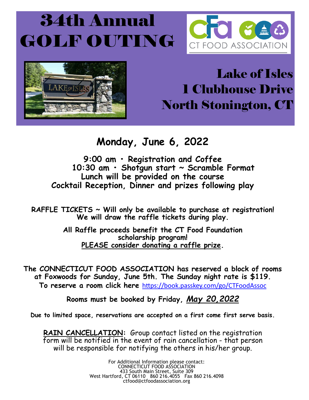## **34th Annual** GOLF OUT ING





## Lake of Isles 1 Clubhouse Drive North Stonington, CT

## **Monday, June 6, 2022**

**9:00 am • Registration and Coffee 10:30 am • Shotgun start ~ Scramble Format Lunch will be provided on the course Cocktail Reception, Dinner and prizes following play**

**RAFFLE TICKETS ~ Will only be available to purchase at registration! We will draw the raffle tickets during play.**

> **All Raffle proceeds benefit the CT Food Foundation scholarship program! PLEASE consider donating a raffle prize.**

**The CONNECTICUT FOOD ASSOCIATION has reserved a block of rooms at Foxwoods for Sunday, June 5th. The Sunday night rate is \$119. To reserve a room click here** [https://book.passkey.com/go/CTFoodAssoc](https://book.passkey.com/event/50319872/owner/46344/home)

**Rooms must be booked by Friday,** *May 20,2022*

**Due to limited space, reservations are accepted on a first come first serve basis.**

**RAIN CANCELLATION:** Group contact listed on the registration form will be notified in the event of rain cancellation - that person will be responsible for notifying the others in his/her group.